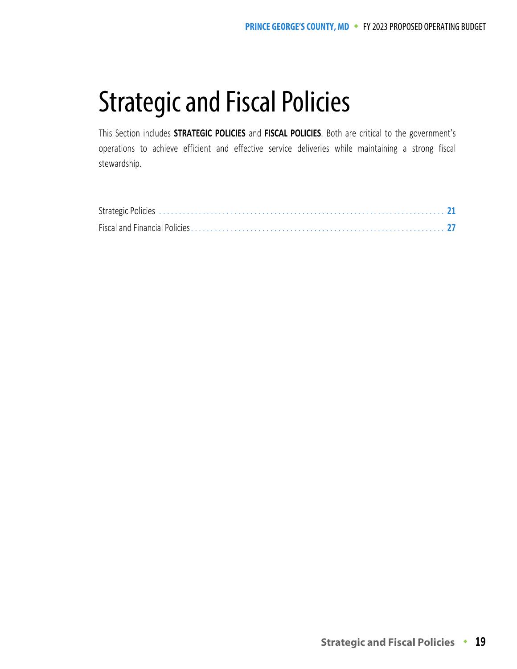# Strategic and Fiscal Policies

This Section includes **STRATEGIC POLICIES** and **FISCAL POLICIES**. Both are critical to the government's operations to achieve efficient and effective service deliveries while maintaining a strong fiscal stewardship.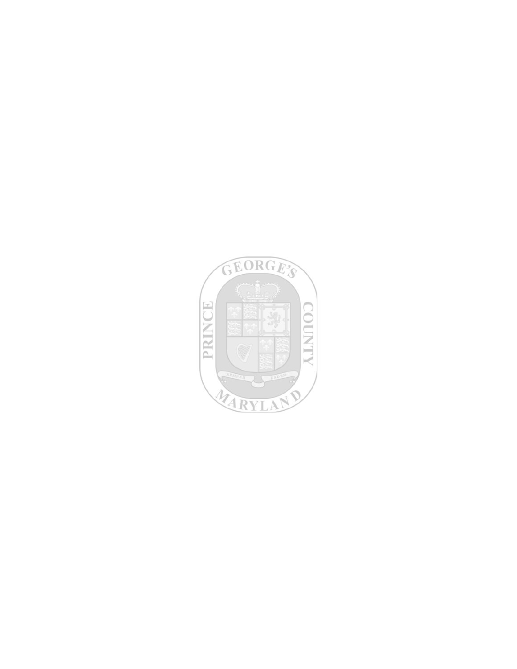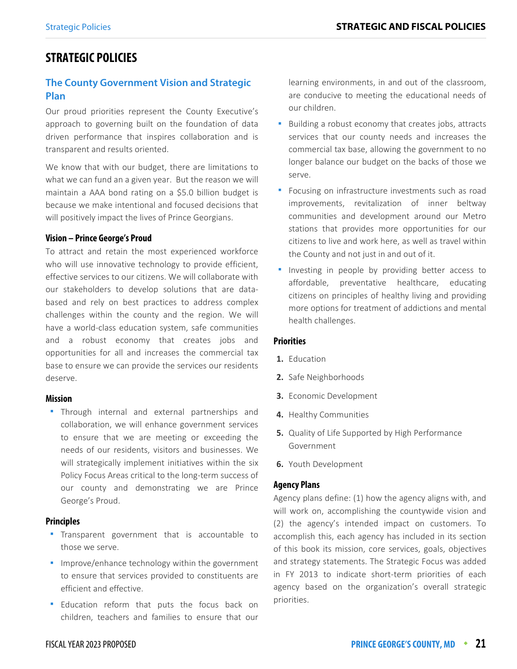# <span id="page-2-0"></span>**STRATEGIC POLICIES**

# **The County Government Vision and Strategic Plan**

Our proud priorities represent the County Executive's approach to governing built on the foundation of data driven performance that inspires collaboration and is transparent and results oriented.

We know that with our budget, there are limitations to what we can fund an a given year. But the reason we will maintain a AAA bond rating on a \$5.0 billion budget is because we make intentional and focused decisions that will positively impact the lives of Prince Georgians.

## **Vision – Prince George's Proud**

To attract and retain the most experienced workforce who will use innovative technology to provide efficient, effective services to our citizens. We will collaborate with our stakeholders to develop solutions that are databased and rely on best practices to address complex challenges within the county and the region. We will have a world-class education system, safe communities and a robust economy that creates jobs and opportunities for all and increases the commercial tax base to ensure we can provide the services our residents deserve.

## **Mission**

**Through internal and external partnerships and** collaboration, we will enhance government services to ensure that we are meeting or exceeding the needs of our residents, visitors and businesses. We will strategically implement initiatives within the six Policy Focus Areas critical to the long-term success of our county and demonstrating we are Prince George's Proud.

## **Principles**

- **Transparent government that is accountable to** those we serve.
- **Improve/enhance technology within the government** to ensure that services provided to constituents are efficient and effective.
- **Education reform that puts the focus back on** children, teachers and families to ensure that our

learning environments, in and out of the classroom, are conducive to meeting the educational needs of our children.

- Building a robust economy that creates jobs, attracts services that our county needs and increases the commercial tax base, allowing the government to no longer balance our budget on the backs of those we serve.
- **F** Focusing on infrastructure investments such as road improvements, revitalization of inner beltway communities and development around our Metro stations that provides more opportunities for our citizens to live and work here, as well as travel within the County and not just in and out of it.
- **Investing in people by providing better access to** affordable, preventative healthcare, educating citizens on principles of healthy living and providing more options for treatment of addictions and mental health challenges.

## **Priorities**

- **1.** Education
- **2.** Safe Neighborhoods
- **3.** Economic Development
- **4.** Healthy Communities
- **5.** Quality of Life Supported by High Performance Government
- **6.** Youth Development

## **Agency Plans**

Agency plans define: (1) how the agency aligns with, and will work on, accomplishing the countywide vision and (2) the agency's intended impact on customers. To accomplish this, each agency has included in its section of this book its mission, core services, goals, objectives and strategy statements. The Strategic Focus was added in FY 2013 to indicate short-term priorities of each agency based on the organization's overall strategic priorities.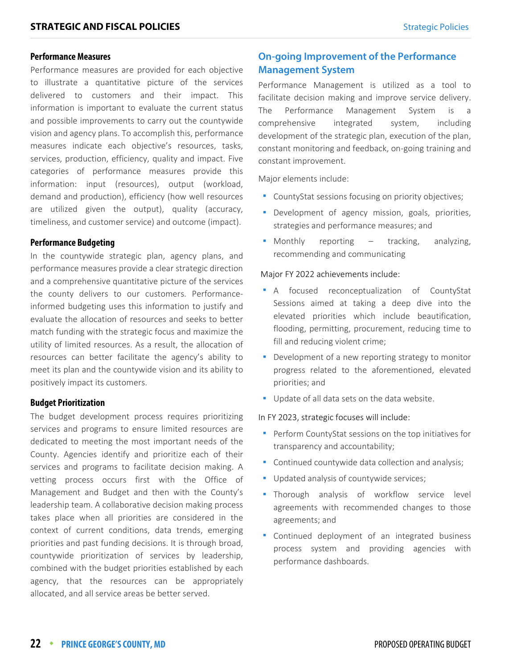#### **Performance Measures**

Performance measures are provided for each objective to illustrate a quantitative picture of the services delivered to customers and their impact. This information is important to evaluate the current status and possible improvements to carry out the countywide vision and agency plans. To accomplish this, performance measures indicate each objective's resources, tasks, services, production, efficiency, quality and impact. Five categories of performance measures provide this information: input (resources), output (workload, demand and production), efficiency (how well resources are utilized given the output), quality (accuracy, timeliness, and customer service) and outcome (impact).

#### **Performance Budgeting**

In the countywide strategic plan, agency plans, and performance measures provide a clear strategic direction and a comprehensive quantitative picture of the services the county delivers to our customers. Performanceinformed budgeting uses this information to justify and evaluate the allocation of resources and seeks to better match funding with the strategic focus and maximize the utility of limited resources. As a result, the allocation of resources can better facilitate the agency's ability to meet its plan and the countywide vision and its ability to positively impact its customers.

#### **Budget Prioritization**

The budget development process requires prioritizing services and programs to ensure limited resources are dedicated to meeting the most important needs of the County. Agencies identify and prioritize each of their services and programs to facilitate decision making. A vetting process occurs first with the Office of Management and Budget and then with the County's leadership team. A collaborative decision making process takes place when all priorities are considered in the context of current conditions, data trends, emerging priorities and past funding decisions. It is through broad, countywide prioritization of services by leadership, combined with the budget priorities established by each agency, that the resources can be appropriately allocated, and all service areas be better served.

# **On-going Improvement of the Performance Management System**

Performance Management is utilized as a tool to facilitate decision making and improve service delivery. The Performance Management System is a comprehensive integrated system, including development of the strategic plan, execution of the plan, constant monitoring and feedback, on-going training and constant improvement.

Major elements include:

- **CountyStat sessions focusing on priority objectives;**
- **Development of agency mission, goals, priorities,** strategies and performance measures; and
- Monthly reporting tracking, analyzing, recommending and communicating

#### Major FY 2022 achievements include:

- A focused reconceptualization of CountyStat Sessions aimed at taking a deep dive into the elevated priorities which include beautification, flooding, permitting, procurement, reducing time to fill and reducing violent crime;
- **•** Development of a new reporting strategy to monitor progress related to the aforementioned, elevated priorities; and
- Update of all data sets on the data website.

In FY 2023, strategic focuses will include:

- **Perform CountyStat sessions on the top initiatives for** transparency and accountability;
- **Continued countywide data collection and analysis;**
- **Updated analysis of countywide services;**
- **Thorough analysis of workflow service level** agreements with recommended changes to those agreements; and
- Continued deployment of an integrated business process system and providing agencies with performance dashboards.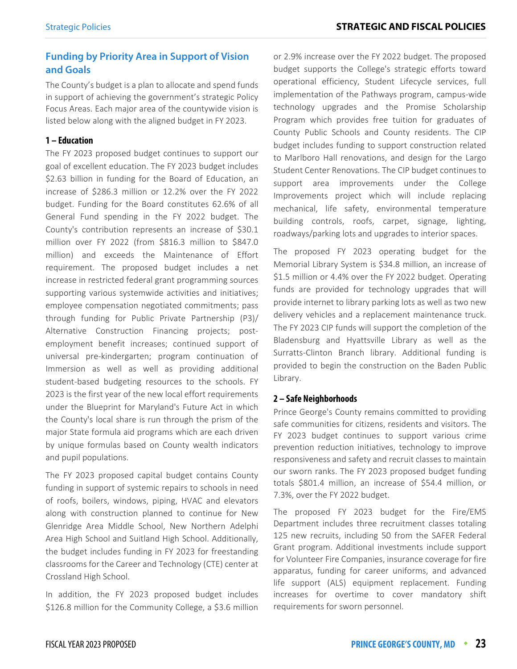# **Funding by Priority Area in Support of Vision and Goals**

The County's budget is a plan to allocate and spend funds in support of achieving the government's strategic Policy Focus Areas. Each major area of the countywide vision is listed below along with the aligned budget in FY 2023.

## **1 – Education**

The FY 2023 proposed budget continues to support our goal of excellent education. The FY 2023 budget includes \$2.63 billion in funding for the Board of Education, an increase of \$286.3 million or 12.2% over the FY 2022 budget. Funding for the Board constitutes 62.6% of all General Fund spending in the FY 2022 budget. The County's contribution represents an increase of \$30.1 million over FY 2022 (from \$816.3 million to \$847.0 million) and exceeds the Maintenance of Effort requirement. The proposed budget includes a net increase in restricted federal grant programming sources supporting various systemwide activities and initiatives; employee compensation negotiated commitments; pass through funding for Public Private Partnership (P3)/ Alternative Construction Financing projects; postemployment benefit increases; continued support of universal pre-kindergarten; program continuation of Immersion as well as well as providing additional student-based budgeting resources to the schools. FY 2023 is the first year of the new local effort requirements under the Blueprint for Maryland's Future Act in which the County's local share is run through the prism of the major State formula aid programs which are each driven by unique formulas based on County wealth indicators and pupil populations.

The FY 2023 proposed capital budget contains County funding in support of systemic repairs to schools in need of roofs, boilers, windows, piping, HVAC and elevators along with construction planned to continue for New Glenridge Area Middle School, New Northern Adelphi Area High School and Suitland High School. Additionally, the budget includes funding in FY 2023 for freestanding classrooms for the Career and Technology (CTE) center at Crossland High School.

In addition, the FY 2023 proposed budget includes \$126.8 million for the Community College, a \$3.6 million

or 2.9% increase over the FY 2022 budget. The proposed budget supports the College's strategic efforts toward operational efficiency, Student Lifecycle services, full implementation of the Pathways program, campus-wide technology upgrades and the Promise Scholarship Program which provides free tuition for graduates of County Public Schools and County residents. The CIP budget includes funding to support construction related to Marlboro Hall renovations, and design for the Largo Student Center Renovations. The CIP budget continues to support area improvements under the College Improvements project which will include replacing mechanical, life safety, environmental temperature building controls, roofs, carpet, signage, lighting, roadways/parking lots and upgrades to interior spaces.

The proposed FY 2023 operating budget for the Memorial Library System is \$34.8 million, an increase of \$1.5 million or 4.4% over the FY 2022 budget. Operating funds are provided for technology upgrades that will provide internet to library parking lots as well as two new delivery vehicles and a replacement maintenance truck. The FY 2023 CIP funds will support the completion of the Bladensburg and Hyattsville Library as well as the Surratts-Clinton Branch library. Additional funding is provided to begin the construction on the Baden Public Library.

## **2 – Safe Neighborhoods**

Prince George's County remains committed to providing safe communities for citizens, residents and visitors. The FY 2023 budget continues to support various crime prevention reduction initiatives, technology to improve responsiveness and safety and recruit classes to maintain our sworn ranks. The FY 2023 proposed budget funding totals \$801.4 million, an increase of \$54.4 million, or 7.3%, over the FY 2022 budget.

The proposed FY 2023 budget for the Fire/EMS Department includes three recruitment classes totaling 125 new recruits, including 50 from the SAFER Federal Grant program. Additional investments include support for Volunteer Fire Companies, insurance coverage for fire apparatus, funding for career uniforms, and advanced life support (ALS) equipment replacement. Funding increases for overtime to cover mandatory shift requirements for sworn personnel.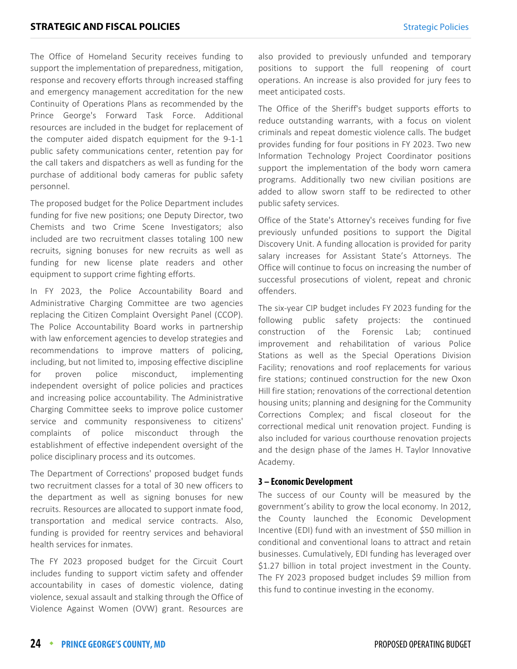## **STRATEGIC AND FISCAL POLICIES STRATEGIC AND FISCAL POLICIES**

The Office of Homeland Security receives funding to support the implementation of preparedness, mitigation, response and recovery efforts through increased staffing and emergency management accreditation for the new Continuity of Operations Plans as recommended by the Prince George's Forward Task Force. Additional resources are included in the budget for replacement of the computer aided dispatch equipment for the 9-1-1 public safety communications center, retention pay for the call takers and dispatchers as well as funding for the purchase of additional body cameras for public safety personnel.

The proposed budget for the Police Department includes funding for five new positions; one Deputy Director, two Chemists and two Crime Scene Investigators; also included are two recruitment classes totaling 100 new recruits, signing bonuses for new recruits as well as funding for new license plate readers and other equipment to support crime fighting efforts.

In FY 2023, the Police Accountability Board and Administrative Charging Committee are two agencies replacing the Citizen Complaint Oversight Panel (CCOP). The Police Accountability Board works in partnership with law enforcement agencies to develop strategies and recommendations to improve matters of policing, including, but not limited to, imposing effective discipline for proven police misconduct, implementing independent oversight of police policies and practices and increasing police accountability. The Administrative Charging Committee seeks to improve police customer service and community responsiveness to citizens' complaints of police misconduct through the establishment of effective independent oversight of the police disciplinary process and its outcomes.

The Department of Corrections' proposed budget funds two recruitment classes for a total of 30 new officers to the department as well as signing bonuses for new recruits. Resources are allocated to support inmate food, transportation and medical service contracts. Also, funding is provided for reentry services and behavioral health services for inmates.

The FY 2023 proposed budget for the Circuit Court includes funding to support victim safety and offender accountability in cases of domestic violence, dating violence, sexual assault and stalking through the Office of Violence Against Women (OVW) grant. Resources are also provided to previously unfunded and temporary positions to support the full reopening of court operations. An increase is also provided for jury fees to meet anticipated costs.

The Office of the Sheriff's budget supports efforts to reduce outstanding warrants, with a focus on violent criminals and repeat domestic violence calls. The budget provides funding for four positions in FY 2023. Two new Information Technology Project Coordinator positions support the implementation of the body worn camera programs. Additionally two new civilian positions are added to allow sworn staff to be redirected to other public safety services.

Office of the State's Attorney's receives funding for five previously unfunded positions to support the Digital Discovery Unit. A funding allocation is provided for parity salary increases for Assistant State's Attorneys. The Office will continue to focus on increasing the number of successful prosecutions of violent, repeat and chronic offenders.

The six-year CIP budget includes FY 2023 funding for the following public safety projects: the continued construction of the Forensic Lab; continued improvement and rehabilitation of various Police Stations as well as the Special Operations Division Facility; renovations and roof replacements for various fire stations; continued construction for the new Oxon Hill fire station; renovations of the correctional detention housing units; planning and designing for the Community Corrections Complex; and fiscal closeout for the correctional medical unit renovation project. Funding is also included for various courthouse renovation projects and the design phase of the James H. Taylor Innovative Academy.

#### **3 – Economic Development**

The success of our County will be measured by the government's ability to grow the local economy. In 2012, the County launched the Economic Development Incentive (EDI) fund with an investment of \$50 million in conditional and conventional loans to attract and retain businesses. Cumulatively, EDI funding has leveraged over \$1.27 billion in total project investment in the County. The FY 2023 proposed budget includes \$9 million from this fund to continue investing in the economy.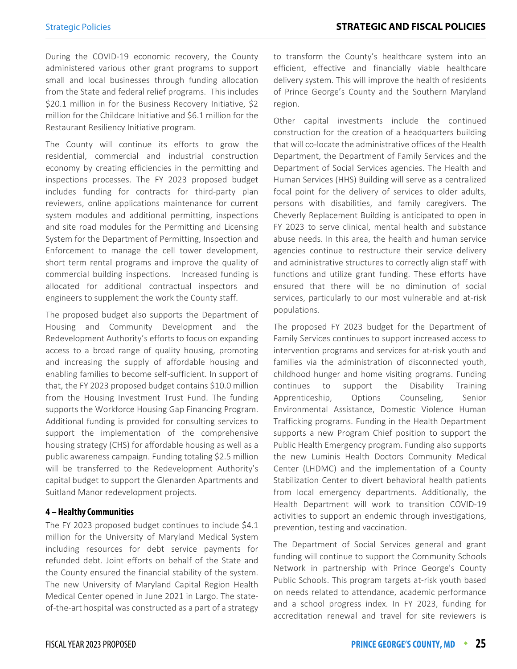During the COVID-19 economic recovery, the County administered various other grant programs to support small and local businesses through funding allocation from the State and federal relief programs. This includes \$20.1 million in for the Business Recovery Initiative, \$2 million for the Childcare Initiative and \$6.1 million for the Restaurant Resiliency Initiative program.

The County will continue its efforts to grow the residential, commercial and industrial construction economy by creating efficiencies in the permitting and inspections processes. The FY 2023 proposed budget includes funding for contracts for third-party plan reviewers, online applications maintenance for current system modules and additional permitting, inspections and site road modules for the Permitting and Licensing System for the Department of Permitting, Inspection and Enforcement to manage the cell tower development, short term rental programs and improve the quality of commercial building inspections. Increased funding is allocated for additional contractual inspectors and engineers to supplement the work the County staff.

The proposed budget also supports the Department of Housing and Community Development and the Redevelopment Authority's efforts to focus on expanding access to a broad range of quality housing, promoting and increasing the supply of affordable housing and enabling families to become self-sufficient. In support of that, the FY 2023 proposed budget contains \$10.0 million from the Housing Investment Trust Fund. The funding supports the Workforce Housing Gap Financing Program. Additional funding is provided for consulting services to support the implementation of the comprehensive housing strategy (CHS) for affordable housing as well as a public awareness campaign. Funding totaling \$2.5 million will be transferred to the Redevelopment Authority's capital budget to support the Glenarden Apartments and Suitland Manor redevelopment projects.

## **4 – Healthy Communities**

The FY 2023 proposed budget continues to include \$4.1 million for the University of Maryland Medical System including resources for debt service payments for refunded debt. Joint efforts on behalf of the State and the County ensured the financial stability of the system. The new University of Maryland Capital Region Health Medical Center opened in June 2021 in Largo. The stateof-the-art hospital was constructed as a part of a strategy to transform the County's healthcare system into an efficient, effective and financially viable healthcare delivery system. This will improve the health of residents of Prince George's County and the Southern Maryland region.

Other capital investments include the continued construction for the creation of a headquarters building that will co-locate the administrative offices of the Health Department, the Department of Family Services and the Department of Social Services agencies. The Health and Human Services (HHS) Building will serve as a centralized focal point for the delivery of services to older adults, persons with disabilities, and family caregivers. The Cheverly Replacement Building is anticipated to open in FY 2023 to serve clinical, mental health and substance abuse needs. In this area, the health and human service agencies continue to restructure their service delivery and administrative structures to correctly align staff with functions and utilize grant funding. These efforts have ensured that there will be no diminution of social services, particularly to our most vulnerable and at-risk populations.

The proposed FY 2023 budget for the Department of Family Services continues to support increased access to intervention programs and services for at-risk youth and families via the administration of disconnected youth, childhood hunger and home visiting programs. Funding continues to support the Disability Training Apprenticeship, Options Counseling, Senior Environmental Assistance, Domestic Violence Human Trafficking programs. Funding in the Health Department supports a new Program Chief position to support the Public Health Emergency program. Funding also supports the new Luminis Health Doctors Community Medical Center (LHDMC) and the implementation of a County Stabilization Center to divert behavioral health patients from local emergency departments. Additionally, the Health Department will work to transition COVID-19 activities to support an endemic through investigations, prevention, testing and vaccination.

The Department of Social Services general and grant funding will continue to support the Community Schools Network in partnership with Prince George's County Public Schools. This program targets at-risk youth based on needs related to attendance, academic performance and a school progress index. In FY 2023, funding for accreditation renewal and travel for site reviewers is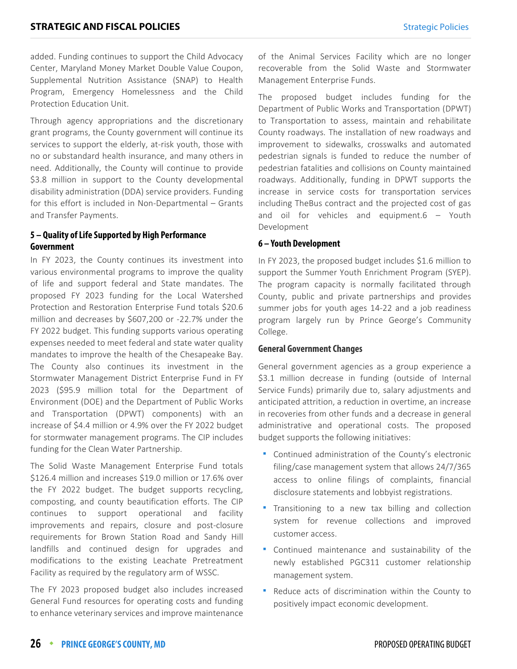## **STRATEGIC AND FISCAL POLICIES STRATEGIC AND FISCAL POLICIES**

added. Funding continues to support the Child Advocacy Center, Maryland Money Market Double Value Coupon, Supplemental Nutrition Assistance (SNAP) to Health Program, Emergency Homelessness and the Child Protection Education Unit.

Through agency appropriations and the discretionary grant programs, the County government will continue its services to support the elderly, at-risk youth, those with no or substandard health insurance, and many others in need. Additionally, the County will continue to provide \$3.8 million in support to the County developmental disability administration (DDA) service providers. Funding for this effort is included in Non-Departmental – Grants and Transfer Payments.

## **5 – Quality of Life Supported by High Performance Government**

In FY 2023, the County continues its investment into various environmental programs to improve the quality of life and support federal and State mandates. The proposed FY 2023 funding for the Local Watershed Protection and Restoration Enterprise Fund totals \$20.6 million and decreases by \$607,200 or -22.7% under the FY 2022 budget. This funding supports various operating expenses needed to meet federal and state water quality mandates to improve the health of the Chesapeake Bay. The County also continues its investment in the Stormwater Management District Enterprise Fund in FY 2023 (\$95.9 million total for the Department of Environment (DOE) and the Department of Public Works and Transportation (DPWT) components) with an increase of \$4.4 million or 4.9% over the FY 2022 budget for stormwater management programs. The CIP includes funding for the Clean Water Partnership.

The Solid Waste Management Enterprise Fund totals \$126.4 million and increases \$19.0 million or 17.6% over the FY 2022 budget. The budget supports recycling, composting, and county beautification efforts. The CIP continues to support operational and facility improvements and repairs, closure and post-closure requirements for Brown Station Road and Sandy Hill landfills and continued design for upgrades and modifications to the existing Leachate Pretreatment Facility as required by the regulatory arm of WSSC.

The FY 2023 proposed budget also includes increased General Fund resources for operating costs and funding to enhance veterinary services and improve maintenance of the Animal Services Facility which are no longer recoverable from the Solid Waste and Stormwater Management Enterprise Funds.

The proposed budget includes funding for the Department of Public Works and Transportation (DPWT) to Transportation to assess, maintain and rehabilitate County roadways. The installation of new roadways and improvement to sidewalks, crosswalks and automated pedestrian signals is funded to reduce the number of pedestrian fatalities and collisions on County maintained roadways. Additionally, funding in DPWT supports the increase in service costs for transportation services including TheBus contract and the projected cost of gas and oil for vehicles and equipment.6 – Youth Development

#### **6 – Youth Development**

In FY 2023, the proposed budget includes \$1.6 million to support the Summer Youth Enrichment Program (SYEP). The program capacity is normally facilitated through County, public and private partnerships and provides summer jobs for youth ages 14-22 and a job readiness program largely run by Prince George's Community College.

#### **General Government Changes**

General government agencies as a group experience a \$3.1 million decrease in funding (outside of Internal Service Funds) primarily due to, salary adjustments and anticipated attrition, a reduction in overtime, an increase in recoveries from other funds and a decrease in general administrative and operational costs. The proposed budget supports the following initiatives:

- Continued administration of the County's electronic filing/case management system that allows 24/7/365 access to online filings of complaints, financial disclosure statements and lobbyist registrations.
- **Transitioning to a new tax billing and collection** system for revenue collections and improved customer access.
- Continued maintenance and sustainability of the newly established PGC311 customer relationship management system.
- **-** Reduce acts of discrimination within the County to positively impact economic development.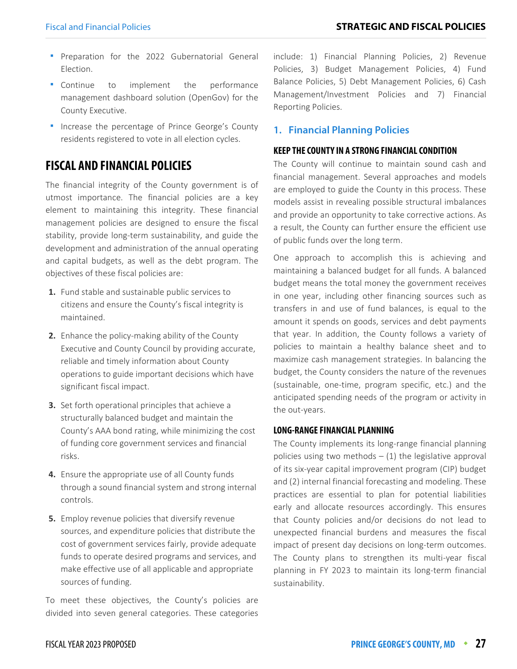- **Preparation for the 2022 Gubernatorial General** Election.
- Continue to implement the performance management dashboard solution (OpenGov) for the County Executive.
- **Increase the percentage of Prince George's County** residents registered to vote in all election cycles.

# <span id="page-8-0"></span>**FISCAL AND FINANCIAL POLICIES**

The financial integrity of the County government is of utmost importance. The financial policies are a key element to maintaining this integrity. These financial management policies are designed to ensure the fiscal stability, provide long-term sustainability, and guide the development and administration of the annual operating and capital budgets, as well as the debt program. The objectives of these fiscal policies are:

- **1.** Fund stable and sustainable public services to citizens and ensure the County's fiscal integrity is maintained.
- **2.** Enhance the policy-making ability of the County Executive and County Council by providing accurate, reliable and timely information about County operations to guide important decisions which have significant fiscal impact.
- **3.** Set forth operational principles that achieve a structurally balanced budget and maintain the County's AAA bond rating, while minimizing the cost of funding core government services and financial risks.
- **4.** Ensure the appropriate use of all County funds through a sound financial system and strong internal controls.
- **5.** Employ revenue policies that diversify revenue sources, and expenditure policies that distribute the cost of government services fairly, provide adequate funds to operate desired programs and services, and make effective use of all applicable and appropriate sources of funding.

To meet these objectives, the County's policies are divided into seven general categories. These categories include: 1) Financial Planning Policies, 2) Revenue Policies, 3) Budget Management Policies, 4) Fund Balance Policies, 5) Debt Management Policies, 6) Cash Management/Investment Policies and 7) Financial Reporting Policies.

## **1. Financial Planning Policies**

## **KEEP THE COUNTY IN A STRONG FINANCIAL CONDITION**

The County will continue to maintain sound cash and financial management. Several approaches and models are employed to guide the County in this process. These models assist in revealing possible structural imbalances and provide an opportunity to take corrective actions. As a result, the County can further ensure the efficient use of public funds over the long term.

One approach to accomplish this is achieving and maintaining a balanced budget for all funds. A balanced budget means the total money the government receives in one year, including other financing sources such as transfers in and use of fund balances, is equal to the amount it spends on goods, services and debt payments that year. In addition, the County follows a variety of policies to maintain a healthy balance sheet and to maximize cash management strategies. In balancing the budget, the County considers the nature of the revenues (sustainable, one-time, program specific, etc.) and the anticipated spending needs of the program or activity in the out-years.

## **LONG-RANGE FINANCIAL PLANNING**

The County implements its long-range financial planning policies using two methods  $-$  (1) the legislative approval of its six-year capital improvement program (CIP) budget and (2) internal financial forecasting and modeling. These practices are essential to plan for potential liabilities early and allocate resources accordingly. This ensures that County policies and/or decisions do not lead to unexpected financial burdens and measures the fiscal impact of present day decisions on long-term outcomes. The County plans to strengthen its multi-year fiscal planning in FY 2023 to maintain its long-term financial sustainability.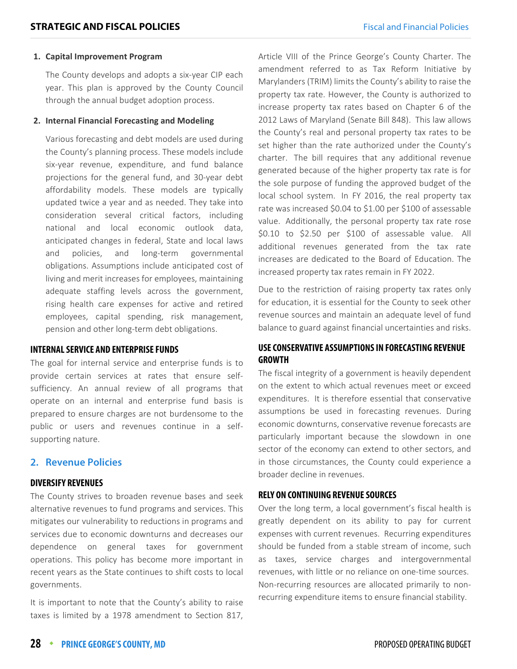#### **1. Capital Improvement Program**

The County develops and adopts a six-year CIP each year. This plan is approved by the County Council through the annual budget adoption process.

#### **2. Internal Financial Forecasting and Modeling**

Various forecasting and debt models are used during the County's planning process. These models include six-year revenue, expenditure, and fund balance projections for the general fund, and 30-year debt affordability models. These models are typically updated twice a year and as needed. They take into consideration several critical factors, including national and local economic outlook data, anticipated changes in federal, State and local laws and policies, and long-term governmental obligations. Assumptions include anticipated cost of living and merit increases for employees, maintaining adequate staffing levels across the government, rising health care expenses for active and retired employees, capital spending, risk management, pension and other long-term debt obligations.

## **INTERNAL SERVICE AND ENTERPRISE FUNDS**

The goal for internal service and enterprise funds is to provide certain services at rates that ensure selfsufficiency. An annual review of all programs that operate on an internal and enterprise fund basis is prepared to ensure charges are not burdensome to the public or users and revenues continue in a selfsupporting nature.

## **2. Revenue Policies**

#### **DIVERSIFY REVENUES**

The County strives to broaden revenue bases and seek alternative revenues to fund programs and services. This mitigates our vulnerability to reductions in programs and services due to economic downturns and decreases our dependence on general taxes for government operations. This policy has become more important in recent years as the State continues to shift costs to local governments.

It is important to note that the County's ability to raise taxes is limited by a 1978 amendment to Section 817, Article VIII of the Prince George's County Charter. The amendment referred to as Tax Reform Initiative by Marylanders (TRIM) limits the County's ability to raise the property tax rate. However, the County is authorized to increase property tax rates based on Chapter 6 of the 2012 Laws of Maryland (Senate Bill 848). This law allows the County's real and personal property tax rates to be set higher than the rate authorized under the County's charter. The bill requires that any additional revenue generated because of the higher property tax rate is for the sole purpose of funding the approved budget of the local school system. In FY 2016, the real property tax rate was increased \$0.04 to \$1.00 per \$100 of assessable value. Additionally, the personal property tax rate rose \$0.10 to \$2.50 per \$100 of assessable value. All additional revenues generated from the tax rate increases are dedicated to the Board of Education. The increased property tax rates remain in FY 2022.

Due to the restriction of raising property tax rates only for education, it is essential for the County to seek other revenue sources and maintain an adequate level of fund balance to guard against financial uncertainties and risks.

## **USE CONSERVATIVE ASSUMPTIONS IN FORECASTING REVENUE GROWTH**

The fiscal integrity of a government is heavily dependent on the extent to which actual revenues meet or exceed expenditures. It is therefore essential that conservative assumptions be used in forecasting revenues. During economic downturns, conservative revenue forecasts are particularly important because the slowdown in one sector of the economy can extend to other sectors, and in those circumstances, the County could experience a broader decline in revenues.

#### **RELY ON CONTINUING REVENUE SOURCES**

Over the long term, a local government's fiscal health is greatly dependent on its ability to pay for current expenses with current revenues. Recurring expenditures should be funded from a stable stream of income, such as taxes, service charges and intergovernmental revenues, with little or no reliance on one-time sources. Non-recurring resources are allocated primarily to nonrecurring expenditure items to ensure financial stability.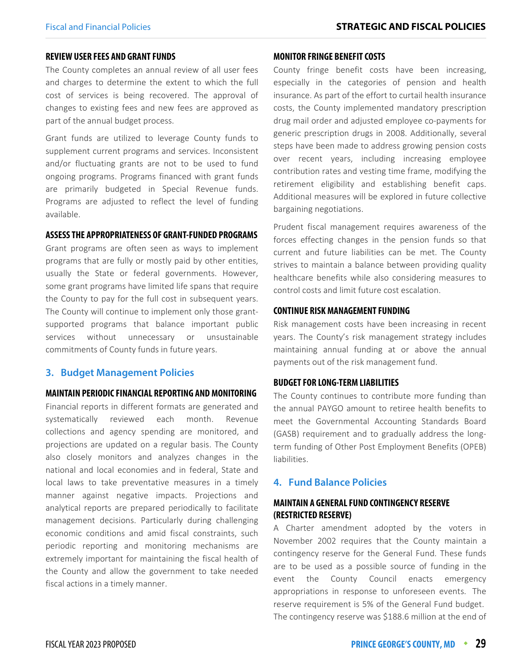#### **REVIEW USER FEES AND GRANT FUNDS**

The County completes an annual review of all user fees and charges to determine the extent to which the full cost of services is being recovered. The approval of changes to existing fees and new fees are approved as part of the annual budget process.

Grant funds are utilized to leverage County funds to supplement current programs and services. Inconsistent and/or fluctuating grants are not to be used to fund ongoing programs. Programs financed with grant funds are primarily budgeted in Special Revenue funds. Programs are adjusted to reflect the level of funding available.

#### **ASSESS THE APPROPRIATENESS OF GRANT-FUNDED PROGRAMS**

Grant programs are often seen as ways to implement programs that are fully or mostly paid by other entities, usually the State or federal governments. However, some grant programs have limited life spans that require the County to pay for the full cost in subsequent years. The County will continue to implement only those grantsupported programs that balance important public services without unnecessary or unsustainable commitments of County funds in future years.

## **3. Budget Management Policies**

#### **MAINTAIN PERIODIC FINANCIAL REPORTING AND MONITORING**

Financial reports in different formats are generated and systematically reviewed each month. Revenue collections and agency spending are monitored, and projections are updated on a regular basis. The County also closely monitors and analyzes changes in the national and local economies and in federal, State and local laws to take preventative measures in a timely manner against negative impacts. Projections and analytical reports are prepared periodically to facilitate management decisions. Particularly during challenging economic conditions and amid fiscal constraints, such periodic reporting and monitoring mechanisms are extremely important for maintaining the fiscal health of the County and allow the government to take needed fiscal actions in a timely manner.

## **MONITOR FRINGE BENEFIT COSTS**

County fringe benefit costs have been increasing, especially in the categories of pension and health insurance. As part of the effort to curtail health insurance costs, the County implemented mandatory prescription drug mail order and adjusted employee co-payments for generic prescription drugs in 2008. Additionally, several steps have been made to address growing pension costs over recent years, including increasing employee contribution rates and vesting time frame, modifying the retirement eligibility and establishing benefit caps. Additional measures will be explored in future collective bargaining negotiations.

Prudent fiscal management requires awareness of the forces effecting changes in the pension funds so that current and future liabilities can be met. The County strives to maintain a balance between providing quality healthcare benefits while also considering measures to control costs and limit future cost escalation.

#### **CONTINUE RISK MANAGEMENT FUNDING**

Risk management costs have been increasing in recent years. The County's risk management strategy includes maintaining annual funding at or above the annual payments out of the risk management fund.

#### **BUDGET FOR LONG-TERM LIABILITIES**

The County continues to contribute more funding than the annual PAYGO amount to retiree health benefits to meet the Governmental Accounting Standards Board (GASB) requirement and to gradually address the longterm funding of Other Post Employment Benefits (OPEB) liabilities.

#### **4. Fund Balance Policies**

## **MAINTAIN A GENERAL FUND CONTINGENCY RESERVE (RESTRICTED RESERVE)**

A Charter amendment adopted by the voters in November 2002 requires that the County maintain a contingency reserve for the General Fund. These funds are to be used as a possible source of funding in the event the County Council enacts emergency appropriations in response to unforeseen events. The reserve requirement is 5% of the General Fund budget. The contingency reserve was \$188.6 million at the end of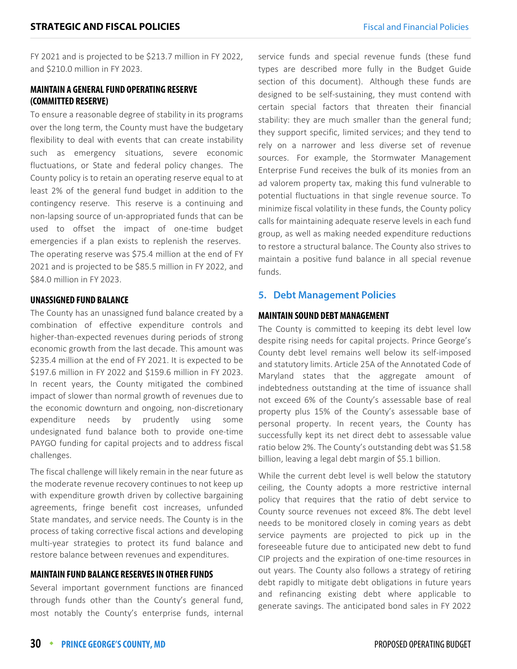FY 2021 and is projected to be \$213.7 million in FY 2022, and \$210.0 million in FY 2023.

## **MAINTAIN A GENERAL FUND OPERATING RESERVE (COMMITTED RESERVE)**

To ensure a reasonable degree of stability in its programs over the long term, the County must have the budgetary flexibility to deal with events that can create instability such as emergency situations, severe economic fluctuations, or State and federal policy changes. The County policy is to retain an operating reserve equal to at least 2% of the general fund budget in addition to the contingency reserve. This reserve is a continuing and non-lapsing source of un-appropriated funds that can be used to offset the impact of one-time budget emergencies if a plan exists to replenish the reserves. The operating reserve was \$75.4 million at the end of FY 2021 and is projected to be \$85.5 million in FY 2022, and \$84.0 million in FY 2023.

## **UNASSIGNED FUND BALANCE**

The County has an unassigned fund balance created by a combination of effective expenditure controls and higher-than-expected revenues during periods of strong economic growth from the last decade. This amount was \$235.4 million at the end of FY 2021. It is expected to be \$197.6 million in FY 2022 and \$159.6 million in FY 2023. In recent years, the County mitigated the combined impact of slower than normal growth of revenues due to the economic downturn and ongoing, non-discretionary expenditure needs by prudently using some undesignated fund balance both to provide one-time PAYGO funding for capital projects and to address fiscal challenges.

The fiscal challenge will likely remain in the near future as the moderate revenue recovery continues to not keep up with expenditure growth driven by collective bargaining agreements, fringe benefit cost increases, unfunded State mandates, and service needs. The County is in the process of taking corrective fiscal actions and developing multi-year strategies to protect its fund balance and restore balance between revenues and expenditures.

## **MAINTAIN FUND BALANCE RESERVES IN OTHER FUNDS**

Several important government functions are financed through funds other than the County's general fund, most notably the County's enterprise funds, internal

service funds and special revenue funds (these fund types are described more fully in the Budget Guide section of this document). Although these funds are designed to be self-sustaining, they must contend with certain special factors that threaten their financial stability: they are much smaller than the general fund; they support specific, limited services; and they tend to rely on a narrower and less diverse set of revenue sources. For example, the Stormwater Management Enterprise Fund receives the bulk of its monies from an ad valorem property tax, making this fund vulnerable to potential fluctuations in that single revenue source. To minimize fiscal volatility in these funds, the County policy calls for maintaining adequate reserve levels in each fund group, as well as making needed expenditure reductions to restore a structural balance. The County also strives to maintain a positive fund balance in all special revenue funds.

## **5. Debt Management Policies**

## **MAINTAIN SOUND DEBT MANAGEMENT**

The County is committed to keeping its debt level low despite rising needs for capital projects. Prince George's County debt level remains well below its self-imposed and statutory limits. Article 25A of the Annotated Code of Maryland states that the aggregate amount of indebtedness outstanding at the time of issuance shall not exceed 6% of the County's assessable base of real property plus 15% of the County's assessable base of personal property. In recent years, the County has successfully kept its net direct debt to assessable value ratio below 2%. The County's outstanding debt was \$1.58 billion, leaving a legal debt margin of \$5.1 billion.

While the current debt level is well below the statutory ceiling, the County adopts a more restrictive internal policy that requires that the ratio of debt service to County source revenues not exceed 8%. The debt level needs to be monitored closely in coming years as debt service payments are projected to pick up in the foreseeable future due to anticipated new debt to fund CIP projects and the expiration of one-time resources in out years. The County also follows a strategy of retiring debt rapidly to mitigate debt obligations in future years and refinancing existing debt where applicable to generate savings. The anticipated bond sales in FY 2022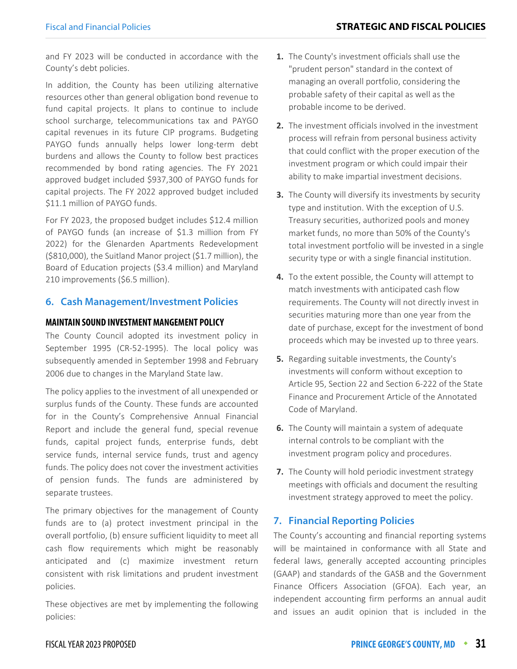and FY 2023 will be conducted in accordance with the County's debt policies.

In addition, the County has been utilizing alternative resources other than general obligation bond revenue to fund capital projects. It plans to continue to include school surcharge, telecommunications tax and PAYGO capital revenues in its future CIP programs. Budgeting PAYGO funds annually helps lower long-term debt burdens and allows the County to follow best practices recommended by bond rating agencies. The FY 2021 approved budget included \$937,300 of PAYGO funds for capital projects. The FY 2022 approved budget included \$11.1 million of PAYGO funds.

For FY 2023, the proposed budget includes \$12.4 million of PAYGO funds (an increase of \$1.3 million from FY 2022) for the Glenarden Apartments Redevelopment (\$810,000), the Suitland Manor project (\$1.7 million), the Board of Education projects (\$3.4 million) and Maryland 210 improvements (\$6.5 million).

## **6. Cash Management/Investment Policies**

## **MAINTAIN SOUND INVESTMENT MANGEMENT POLICY**

The County Council adopted its investment policy in September 1995 (CR-52-1995). The local policy was subsequently amended in September 1998 and February 2006 due to changes in the Maryland State law.

The policy applies to the investment of all unexpended or surplus funds of the County. These funds are accounted for in the County's Comprehensive Annual Financial Report and include the general fund, special revenue funds, capital project funds, enterprise funds, debt service funds, internal service funds, trust and agency funds. The policy does not cover the investment activities of pension funds. The funds are administered by separate trustees.

The primary objectives for the management of County funds are to (a) protect investment principal in the overall portfolio, (b) ensure sufficient liquidity to meet all cash flow requirements which might be reasonably anticipated and (c) maximize investment return consistent with risk limitations and prudent investment policies.

These objectives are met by implementing the following policies:

- **1.** The County's investment officials shall use the "prudent person" standard in the context of managing an overall portfolio, considering the probable safety of their capital as well as the probable income to be derived.
- **2.** The investment officials involved in the investment process will refrain from personal business activity that could conflict with the proper execution of the investment program or which could impair their ability to make impartial investment decisions.
- **3.** The County will diversify its investments by security type and institution. With the exception of U.S. Treasury securities, authorized pools and money market funds, no more than 50% of the County's total investment portfolio will be invested in a single security type or with a single financial institution.
- **4.** To the extent possible, the County will attempt to match investments with anticipated cash flow requirements. The County will not directly invest in securities maturing more than one year from the date of purchase, except for the investment of bond proceeds which may be invested up to three years.
- **5.** Regarding suitable investments, the County's investments will conform without exception to Article 95, Section 22 and Section 6-222 of the State Finance and Procurement Article of the Annotated Code of Maryland.
- **6.** The County will maintain a system of adequate internal controls to be compliant with the investment program policy and procedures.
- **7.** The County will hold periodic investment strategy meetings with officials and document the resulting investment strategy approved to meet the policy.

## **7. Financial Reporting Policies**

The County's accounting and financial reporting systems will be maintained in conformance with all State and federal laws, generally accepted accounting principles (GAAP) and standards of the GASB and the Government Finance Officers Association (GFOA). Each year, an independent accounting firm performs an annual audit and issues an audit opinion that is included in the